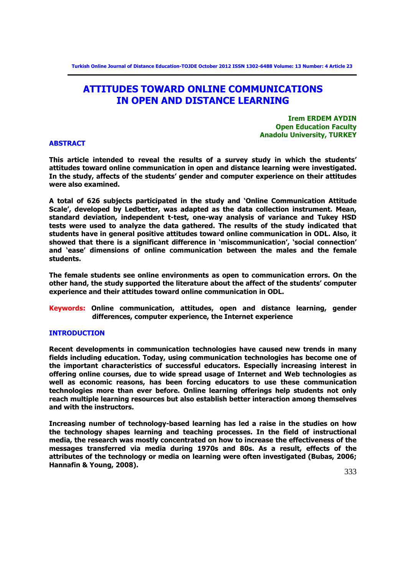**Turkish Online Journal of Distance Education-TOJDE October 2012 ISSN 1302-6488 Volume: 13 Number: 4 Article 23**

# **ATTITUDES TOWARD ONLINE COMMUNICATIONS IN OPEN AND DISTANCE LEARNING**

**Irem ERDEM AYDIN Open Education Faculty Anadolu University, TURKEY**

# **ABSTRACT**

**This article intended to reveal the results of a survey study in which the students' attitudes toward online communication in open and distance learning were investigated. In the study, affects of the students' gender and computer experience on their attitudes were also examined.** 

**A total of 626 subjects participated in the study and 'Online Communication Attitude Scale', developed by Ledbetter, was adapted as the data collection instrument. Mean, standard deviation, independent t-test, one-way analysis of variance and Tukey HSD tests were used to analyze the data gathered. The results of the study indicated that students have in general positive attitudes toward online communication in ODL. Also, it showed that there is a significant difference in 'miscommunication', 'social connection' and 'ease' dimensions of online communication between the males and the female students.** 

**The female students see online environments as open to communication errors. On the other hand, the study supported the literature about the affect of the students' computer experience and their attitudes toward online communication in ODL.** 

**Keywords: Online communication, attitudes, open and distance learning, gender differences, computer experience, the Internet experience**

# **INTRODUCTION**

**Recent developments in communication technologies have caused new trends in many fields including education. Today, using communication technologies has become one of the important characteristics of successful educators. Especially increasing interest in offering online courses, due to wide spread usage of Internet and Web technologies as well as economic reasons, has been forcing educators to use these communication technologies more than ever before. Online learning offerings help students not only reach multiple learning resources but also establish better interaction among themselves and with the instructors.** 

**Increasing number of technology-based learning has led a raise in the studies on how the technology shapes learning and teaching processes. In the field of instructional media, the research was mostly concentrated on how to increase the effectiveness of the messages transferred via media during 1970s and 80s. As a result, effects of the attributes of the technology or media on learning were often investigated (Bubas, 2006; Hannafin & Young, 2008).**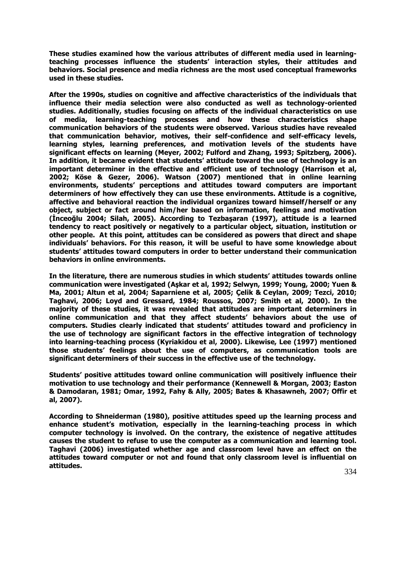**These studies examined how the various attributes of different media used in learningteaching processes influence the students' interaction styles, their attitudes and behaviors. Social presence and media richness are the most used conceptual frameworks used in these studies.**

**After the 1990s, studies on cognitive and affective characteristics of the individuals that influence their media selection were also conducted as well as technology-oriented studies. Additionally, studies focusing on affects of the individual characteristics on use of media, learning-teaching processes and how these characteristics shape communication behaviors of the students were observed. Various studies have revealed that communication behavior, motives, their self-confidence and self-efficacy levels, learning styles, learning preferences, and motivation levels of the students have significant effects on learning (Meyer, 2002; Fulford and Zhang, 1993; Spitzberg, 2006). In addition, it became evident that students' attitude toward the use of technology is an important determiner in the effective and efficient use of technology (Harrison et al, 2002; Köse & Gezer, 2006). Watson (2007) mentioned that in online learning environments, students' perceptions and attitudes toward computers are important determiners of how effectively they can use these environments. Attitude is a cognitive, affective and behavioral reaction the individual organizes toward himself/herself or any object, subject or fact around him/her based on information, feelings and motivation (İnceoğlu 2004; Silah, 2005). According to Tezbaşaran (1997), attitude is a learned tendency to react positively or negatively to a particular object, situation, institution or other people. At this point, attitudes can be considered as powers that direct and shape individuals' behaviors. For this reason, it will be useful to have some knowledge about students' attitudes toward computers in order to better understand their communication behaviors in online environments.** 

**In the literature, there are numerous studies in which students' attitudes towards online communication were investigated (Aşkar et al, 1992; Selwyn, 1999; Young, 2000; Yuen & Ma, 2001; Altun et al, 2004; Saparniene et al, 2005; Çelik & Ceylan, 2009; Tezci, 2010; Taghavi, 2006; Loyd and Gressard, 1984; Roussos, 2007; Smith et al, 2000). In the majority of these studies, it was revealed that attitudes are important determiners in online communication and that they affect students' behaviors about the use of computers. Studies clearly indicated that students' attitudes toward and proficiency in the use of technology are significant factors in the effective integration of technology into learning-teaching process (Kyriakidou et al, 2000). Likewise, Lee (1997) mentioned those students' feelings about the use of computers, as communication tools are significant determiners of their success in the effective use of the technology.**

**Students' positive attitudes toward online communication will positively influence their motivation to use technology and their performance (Kennewell & Morgan, 2003; Easton & Damodaran, 1981; Omar, 1992, Fahy & Ally, 2005; Bates & Khasawneh, 2007; Offir et al, 2007).** 

**According to Shneiderman (1980), positive attitudes speed up the learning process and enhance student's motivation, especially in the learning-teaching process in which computer technology is involved. On the contrary, the existence of negative attitudes causes the student to refuse to use the computer as a communication and learning tool. Taghavi (2006) investigated whether age and classroom level have an effect on the attitudes toward computer or not and found that only classroom level is influential on attitudes.**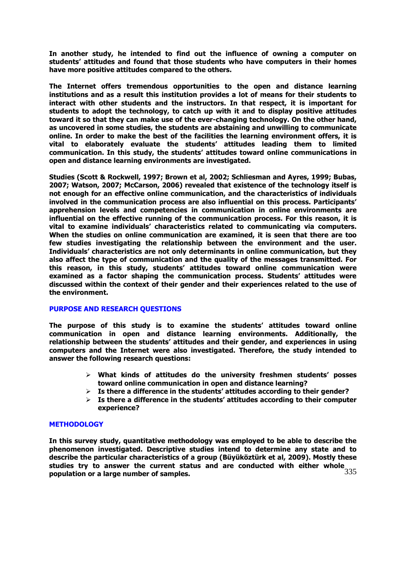**In another study, he intended to find out the influence of owning a computer on students' attitudes and found that those students who have computers in their homes have more positive attitudes compared to the others.** 

**The Internet offers tremendous opportunities to the open and distance learning institutions and as a result this institution provides a lot of means for their students to interact with other students and the instructors. In that respect, it is important for students to adopt the technology, to catch up with it and to display positive attitudes toward it so that they can make use of the ever-changing technology. On the other hand, as uncovered in some studies, the students are abstaining and unwilling to communicate online. In order to make the best of the facilities the learning environment offers, it is vital to elaborately evaluate the students' attitudes leading them to limited communication. In this study, the students' attitudes toward online communications in open and distance learning environments are investigated.** 

**Studies (Scott & Rockwell, 1997; Brown et al, 2002; Schliesman and Ayres, 1999; Bubas, 2007; Watson, 2007; McCarson, 2006) revealed that existence of the technology itself is not enough for an effective online communication, and the characteristics of individuals involved in the communication process are also influential on this process. Participants' apprehension levels and competencies in communication in online environments are influential on the effective running of the communication process. For this reason, it is vital to examine individuals' characteristics related to communicating via computers. When the studies on online communication are examined, it is seen that there are too few studies investigating the relationship between the environment and the user. Individuals' characteristics are not only determinants in online communication, but they also affect the type of communication and the quality of the messages transmitted. For this reason, in this study, students' attitudes toward online communication were examined as a factor shaping the communication process. Students' attitudes were discussed within the context of their gender and their experiences related to the use of the environment.** 

# **PURPOSE AND RESEARCH QUESTIONS**

**The purpose of this study is to examine the students' attitudes toward online communication in open and distance learning environments. Additionally, the relationship between the students' attitudes and their gender, and experiences in using computers and the Internet were also investigated. Therefore, the study intended to answer the following research questions:**

- **What kinds of attitudes do the university freshmen students' posses toward online communication in open and distance learning?**
- **Is there a difference in the students' attitudes according to their gender?**
- **Is there a difference in the students' attitudes according to their computer experience?**

## **METHODOLOGY**

335 **In this survey study, quantitative methodology was employed to be able to describe the phenomenon investigated. Descriptive studies intend to determine any state and to describe the particular characteristics of a group (Büyüköztürk et al, 2009). Mostly these studies try to answer the current status and are conducted with either whole population or a large number of samples.**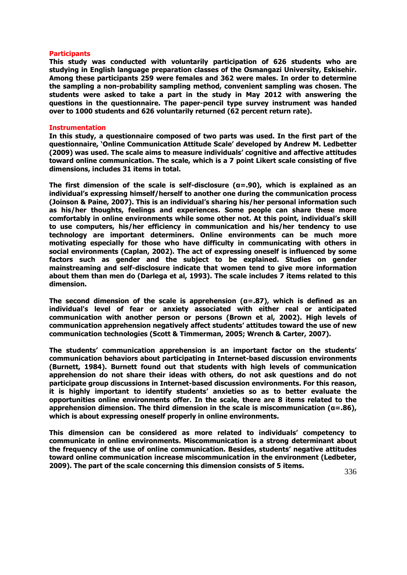#### **Participants**

**This study was conducted with voluntarily participation of 626 students who are studying in English language preparation classes of the Osmangazi University, Eskisehir. Among these participants 259 were females and 362 were males. In order to determine the sampling a non-probability sampling method, convenient sampling was chosen. The students were asked to take a part in the study in May 2012 with answering the questions in the questionnaire. The paper-pencil type survey instrument was handed over to 1000 students and 626 voluntarily returned (62 percent return rate).** 

#### **Instrumentation**

**In this study, a questionnaire composed of two parts was used. In the first part of the questionnaire, 'Online Communication Attitude Scale' developed by Andrew M. Ledbetter (2009) was used. The scale aims to measure individuals' cognitive and affective attitudes toward online communication. The scale, which is a 7 point Likert scale consisting of five dimensions, includes 31 items in total.** 

**The first dimension of the scale is self-disclosure (α=.90), which is explained as an individual's expressing himself/herself to another one during the communication process (Joinson & Paine, 2007). This is an individual's sharing his/her personal information such as his/her thoughts, feelings and experiences. Some people can share these more comfortably in online environments while some other not. At this point, individual's skill to use computers, his/her efficiency in communication and his/her tendency to use technology are important determiners. Online environments can be much more motivating especially for those who have difficulty in communicating with others in social environments (Caplan, 2002). The act of expressing oneself is influenced by some factors such as gender and the subject to be explained. Studies on gender mainstreaming and self-disclosure indicate that women tend to give more information about them than men do (Darlega et al, 1993). The scale includes 7 items related to this dimension.**

**The second dimension of the scale is apprehension (α=.87), which is defined as an individual's level of fear or anxiety associated with either real or anticipated communication with another person or persons (Brown et al, 2002). High levels of communication apprehension negatively affect students' attitudes toward the use of new communication technologies (Scott & Timmerman, 2005; Wrench & Carter, 2007).** 

**The students' communication apprehension is an important factor on the students' communication behaviors about participating in Internet-based discussion environments (Burnett, 1984). Burnett found out that students with high levels of communication apprehension do not share their ideas with others, do not ask questions and do not participate group discussions in Internet-based discussion environments. For this reason, it is highly important to identify students' anxieties so as to better evaluate the opportunities online environments offer. In the scale, there are 8 items related to the apprehension dimension. The third dimension in the scale is miscommunication (α=.86), which is about expressing oneself properly in online environments.** 

**This dimension can be considered as more related to individuals' competency to communicate in online environments. Miscommunication is a strong determinant about the frequency of the use of online communication. Besides, students' negative attitudes toward online communication increase miscommunication in the environment (Ledbeter, 2009). The part of the scale concerning this dimension consists of 5 items.**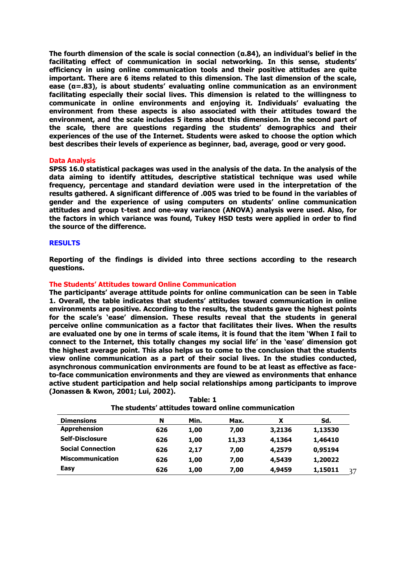**The fourth dimension of the scale is social connection (α.84), an individual's belief in the facilitating effect of communication in social networking. In this sense, students' efficiency in using online communication tools and their positive attitudes are quite important. There are 6 items related to this dimension. The last dimension of the scale, ease (α=.83), is about students' evaluating online communication as an environment facilitating especially their social lives. This dimension is related to the willingness to communicate in online environments and enjoying it. Individuals' evaluating the environment from these aspects is also associated with their attitudes toward the environment, and the scale includes 5 items about this dimension. In the second part of the scale, there are questions regarding the students' demographics and their experiences of the use of the Internet. Students were asked to choose the option which best describes their levels of experience as beginner, bad, average, good or very good.** 

#### **Data Analysis**

**SPSS 16.0 statistical packages was used in the analysis of the data. In the analysis of the data aiming to identify attitudes, descriptive statistical technique was used while frequency, percentage and standard deviation were used in the interpretation of the results gathered. A significant difference of .005 was tried to be found in the variables of gender and the experience of using computers on students' online communication attitudes and group t-test and one-way variance (ANOVA) analysis were used. Also, for the factors in which variance was found, Tukey HSD tests were applied in order to find the source of the difference.** 

## **RESULTS**

**Reporting of the findings is divided into three sections according to the research questions.**

#### **The Students' Attitudes toward Online Communication**

**The participants' average attitude points for online communication can be seen in Table 1. Overall, the table indicates that students' attitudes toward communication in online environments are positive. According to the results, the students gave the highest points for the scale's 'ease' dimension. These results reveal that the students in general perceive online communication as a factor that facilitates their lives. When the results are evaluated one by one in terms of scale items, it is found that the item 'When I fail to connect to the Internet, this totally changes my social life' in the 'ease' dimension got the highest average point. This also helps us to come to the conclusion that the students view online communication as a part of their social lives. In the studies conducted, asynchronous communication environments are found to be at least as effective as faceto-face communication environments and they are viewed as environments that enhance active student participation and help social relationships among participants to improve (Jonassen & Kwon, 2001; Lui, 2002).** 

| <b>Dimensions</b>        | N   | Min. | Max.  | χ      | Sd.     |
|--------------------------|-----|------|-------|--------|---------|
| <b>Apprehension</b>      | 626 | 1,00 | 7,00  | 3,2136 | 1,13530 |
| <b>Self-Disclosure</b>   | 626 | 1,00 | 11,33 | 4,1364 | 1,46410 |
| <b>Social Connection</b> | 626 | 2,17 | 7,00  | 4,2579 | 0,95194 |
| <b>Miscommunication</b>  | 626 | 1,00 | 7,00  | 4,5439 | 1,20022 |
| <b>Easy</b>              | 626 | 1,00 | 7,00  | 4,9459 | 1,15011 |

**Table: 1 The students' attitudes toward online communication**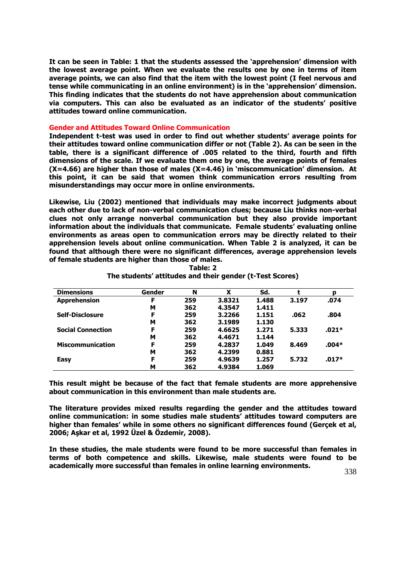**It can be seen in Table: 1 that the students assessed the 'apprehension' dimension with the lowest average point. When we evaluate the results one by one in terms of item average points, we can also find that the item with the lowest point (I feel nervous and tense while communicating in an online environment) is in the 'apprehension' dimension. This finding indicates that the students do not have apprehension about communication via computers. This can also be evaluated as an indicator of the students' positive attitudes toward online communication.** 

#### **Gender and Attitudes Toward Online Communication**

**Independent t-test was used in order to find out whether students' average points for their attitudes toward online communication differ or not (Table 2). As can be seen in the table, there is a significant difference of .005 related to the third, fourth and fifth dimensions of the scale. If we evaluate them one by one, the average points of females (X=4.66) are higher than those of males (X=4.46) in 'miscommunication' dimension. At this point, it can be said that women think communication errors resulting from misunderstandings may occur more in online environments.** 

**Likewise, Liu (2002) mentioned that individuals may make incorrect judgments about each other due to lack of non-verbal communication clues; because Liu thinks non-verbal clues not only arrange nonverbal communication but they also provide important information about the individuals that communicate. Female students' evaluating online environments as areas open to communication errors may be directly related to their apprehension levels about online communication. When Table 2 is analyzed, it can be found that although there were no significant differences, average apprehension levels of female students are higher than those of males.** 

| <b>Dimensions</b>        | Gender | N   | x      | Sd.   |       | D     |
|--------------------------|--------|-----|--------|-------|-------|-------|
| <b>Apprehension</b>      | F      | 259 | 3.8321 | 1.488 | 3.197 | .074  |
|                          | м      | 362 | 4.3547 | 1.411 |       |       |
| <b>Self-Disclosure</b>   | F      | 259 | 3.2266 | 1.151 | .062  | .804  |
|                          | м      | 362 | 3.1989 | 1.130 |       |       |
| <b>Social Connection</b> | F      | 259 | 4.6625 | 1.271 | 5.333 | .021* |
|                          | м      | 362 | 4.4671 | 1.144 |       |       |
| <b>Miscommunication</b>  | F      | 259 | 4.2837 | 1.049 | 8.469 | .004* |
|                          | м      | 362 | 4.2399 | 0.881 |       |       |
| <b>Easy</b>              | F      | 259 | 4.9639 | 1.257 | 5.732 | .017* |
|                          | M      | 362 | 4.9384 | 1.069 |       |       |

**Table: 2 The students' attitudes and their gender (t-Test Scores)**

**This result might be because of the fact that female students are more apprehensive about communication in this environment than male students are.** 

**The literature provides mixed results regarding the gender and the attitudes toward online communication: in some studies male students' attitudes toward computers are higher than females' while in some others no significant differences found (Gerçek et al, 2006; Aşkar et al, 1992 Üzel & Özdemir, 2008).** 

**In these studies, the male students were found to be more successful than females in terms of both competence and skills. Likewise, male students were found to be academically more successful than females in online learning environments.**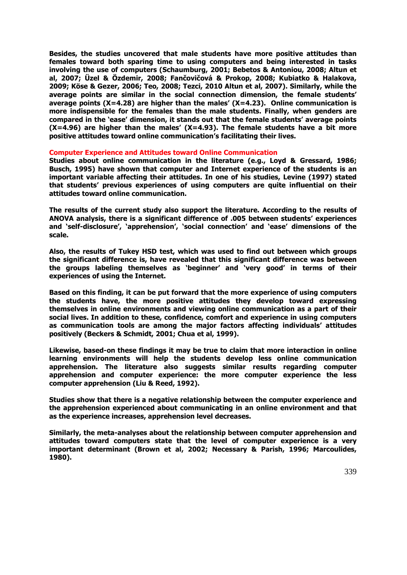**Besides, the studies uncovered that male students have more positive attitudes than females toward both sparing time to using computers and being interested in tasks involving the use of computers (Schaumburg, 2001; Bebetos & Antoniou, 2008; Altun et al, 2007; Üzel & Özdemir, 2008; Fančovičová & Prokop, 2008; Kubiatko & Halakova, 2009; Köse & Gezer, 2006; Teo, 2008; Tezci, 2010 Altun et al, 2007). Similarly, while the average points are similar in the social connection dimension, the female students' average points (X=4.28) are higher than the males' (X=4.23). Online communication is more indispensible for the females than the male students. Finally, when genders are compared in the 'ease' dimension, it stands out that the female students' average points (X=4.96) are higher than the males' (X=4.93). The female students have a bit more positive attitudes toward online communication's facilitating their lives.** 

## **Computer Experience and Attitudes toward Online Communication**

**Studies about online communication in the literature (e.g., Loyd & Gressard, 1986; Busch, 1995) have shown that computer and Internet experience of the students is an important variable affecting their attitudes. In one of his studies, Levine (1997) stated that students' previous experiences of using computers are quite influential on their attitudes toward online communication.** 

**The results of the current study also support the literature. According to the results of ANOVA analysis, there is a significant difference of .005 between students' experiences and 'self-disclosure', 'apprehension', 'social connection' and 'ease' dimensions of the scale.** 

**Also, the results of Tukey HSD test, which was used to find out between which groups the significant difference is, have revealed that this significant difference was between the groups labeling themselves as 'beginner' and 'very good' in terms of their experiences of using the Internet.** 

**Based on this finding, it can be put forward that the more experience of using computers the students have, the more positive attitudes they develop toward expressing themselves in online environments and viewing online communication as a part of their social lives. In addition to these, confidence, comfort and experience in using computers as communication tools are among the major factors affecting individuals' attitudes positively (Beckers & Schmidt, 2001; Chua et al, 1999).**

**Likewise, based-on these findings it may be true to claim that more interaction in online learning environments will help the students develop less online communication apprehension. The literature also suggests similar results regarding computer apprehension and computer experience: the more computer experience the less computer apprehension (Liu & Reed, 1992).** 

**Studies show that there is a negative relationship between the computer experience and the apprehension experienced about communicating in an online environment and that as the experience increases, apprehension level decreases.** 

**Similarly, the meta-analyses about the relationship between computer apprehension and attitudes toward computers state that the level of computer experience is a very important determinant (Brown et al, 2002; Necessary & Parish, 1996; Marcoulides, 1980).**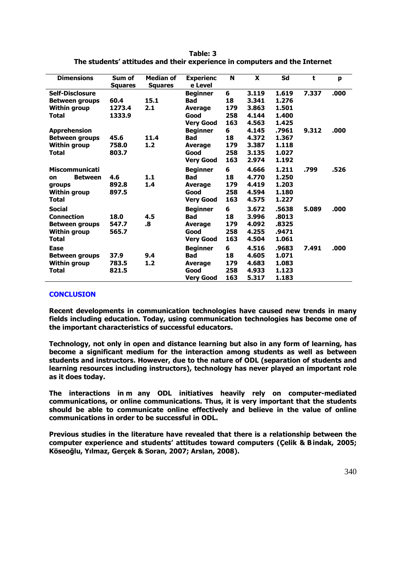| <b>Dimensions</b>           | Sum of<br><b>Squares</b> | <b>Median of</b><br><b>Squares</b> | <b>Experienc</b><br>e Level | N   | $\boldsymbol{\mathsf{x}}$ | Sd    | t     | p    |
|-----------------------------|--------------------------|------------------------------------|-----------------------------|-----|---------------------------|-------|-------|------|
| <b>Self-Disclosure</b>      |                          |                                    | <b>Beginner</b>             | 6   | 3.119                     | 1.619 | 7.337 | .000 |
| <b>Between groups</b>       | 60.4                     | 15.1                               | <b>Bad</b>                  | 18  | 3.341                     | 1.276 |       |      |
| <b>Within group</b>         | 1273.4                   | 2.1                                | <b>Average</b>              | 179 | 3.863                     | 1.501 |       |      |
| <b>Total</b>                | 1333.9                   |                                    | Good                        | 258 | 4.144                     | 1.400 |       |      |
|                             |                          |                                    | <b>Very Good</b>            | 163 | 4.563                     | 1.425 |       |      |
| <b>Apprehension</b>         |                          |                                    | <b>Beginner</b>             | 6   | 4.145                     | .7961 | 9.312 | .000 |
| <b>Between groups</b>       | 45.6                     | 11.4                               | <b>Bad</b>                  | 18  | 4.372                     | 1.367 |       |      |
| <b>Within group</b>         | 758.0                    | 1.2                                | <b>Average</b>              | 179 | 3.387                     | 1.118 |       |      |
| <b>Total</b>                | 803.7                    |                                    | Good                        | 258 | 3.135                     | 1.027 |       |      |
|                             |                          |                                    | <b>Very Good</b>            | 163 | 2.974                     | 1.192 |       |      |
| <b>Miscommunicati</b>       |                          |                                    | <b>Beginner</b>             | 6   | 4.666                     | 1.211 | .799  | .526 |
| <b>Between</b><br><b>on</b> | 4.6                      | 1.1                                | <b>Bad</b>                  | 18  | 4.770                     | 1.250 |       |      |
| groups                      | 892.8                    | 1.4                                | <b>Average</b>              | 179 | 4.419                     | 1.203 |       |      |
| <b>Within group</b>         | 897.5                    |                                    | Good                        | 258 | 4.594                     | 1.180 |       |      |
| <b>Total</b>                |                          |                                    | <b>Very Good</b>            | 163 | 4.575                     | 1.227 |       |      |
| <b>Social</b>               |                          |                                    | <b>Beginner</b>             | 6   | 3.672                     | .5638 | 5.089 | .000 |
| <b>Connection</b>           | 18.0                     | 4.5                                | <b>Bad</b>                  | 18  | 3.996                     | .8013 |       |      |
| <b>Between groups</b>       | 547.7                    | .8                                 | <b>Average</b>              | 179 | 4.092                     | .8325 |       |      |
| <b>Within group</b>         | 565.7                    |                                    | Good                        | 258 | 4.255                     | .9471 |       |      |
| <b>Total</b>                |                          |                                    | <b>Very Good</b>            | 163 | 4.504                     | 1.061 |       |      |
| Ease                        |                          |                                    | <b>Beginner</b>             | 6   | 4.516                     | .9683 | 7.491 | .000 |
| <b>Between groups</b>       | 37.9                     | 9.4                                | <b>Bad</b>                  | 18  | 4.605                     | 1.071 |       |      |
| <b>Within group</b>         | 783.5                    | 1.2                                | <b>Average</b>              | 179 | 4.683                     | 1.083 |       |      |
| <b>Total</b>                | 821.5                    |                                    | Good                        | 258 | 4.933                     | 1.123 |       |      |
|                             |                          |                                    | <b>Very Good</b>            | 163 | 5.317                     | 1.183 |       |      |

| Table: 3                                                                   |
|----------------------------------------------------------------------------|
| The students' attitudes and their experience in computers and the Internet |

# **CONCLUSION**

**Recent developments in communication technologies have caused new trends in many fields including education. Today, using communication technologies has become one of the important characteristics of successful educators.** 

**Technology, not only in open and distance learning but also in any form of learning, has become a significant medium for the interaction among students as well as between students and instructors. However, due to the nature of ODL (separation of students and learning resources including instructors), technology has never played an important role as it does today.** 

**The interactions in m any ODL initiatives heavily rely on computer-mediated communications, or online communications. Thus, it is very important that the students should be able to communicate online effectively and believe in the value of online communications in order to be successful in ODL.** 

**Previous studies in the literature have revealed that there is a relationship between the computer experience and students' attitudes toward computers (Çelik & Bindak, 2005; Köseoğlu, Yılmaz, Gerçek & Soran, 2007; Arslan, 2008).**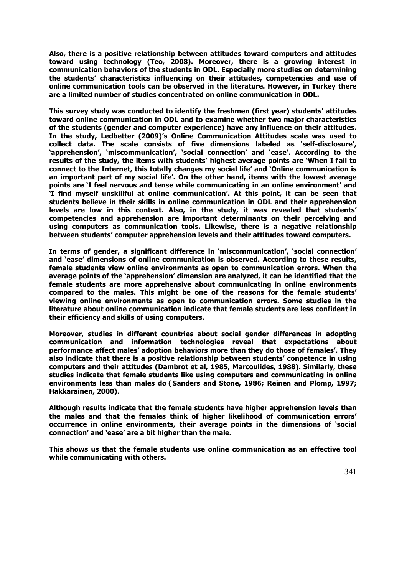**Also, there is a positive relationship between attitudes toward computers and attitudes toward using technology (Teo, 2008). Moreover, there is a growing interest in communication behaviors of the students in ODL. Especially more studies on determining the students' characteristics influencing on their attitudes, competencies and use of online communication tools can be observed in the literature. However, in Turkey there are a limited number of studies concentrated on online communication in ODL.** 

**This survey study was conducted to identify the freshmen (first year) students' attitudes toward online communication in ODL and to examine whether two major characteristics of the students (gender and computer experience) have any influence on their attitudes. In the study, Ledbetter (2009)'s Online Communication Attitudes scale was used to collect data. The scale consists of five dimensions labeled as 'self-disclosure', 'apprehension', 'miscommunication', 'social connection' and 'ease'. According to the results of the study, the items with students' highest average points are 'When I fail to connect to the Internet, this totally changes my social life' and 'Online communication is an important part of my social life'. On the other hand, items with the lowest average points are 'I feel nervous and tense while communicating in an online environment' and 'I find myself unskillful at online communication'. At this point, it can be seen that students believe in their skills in online communication in ODL and their apprehension levels are low in this context. Also, in the study, it was revealed that students' competencies and apprehension are important determinants on their perceiving and using computers as communication tools. Likewise, there is a negative relationship between students' computer apprehension levels and their attitudes toward computers.** 

**In terms of gender, a significant difference in 'miscommunication', 'social connection' and 'ease' dimensions of online communication is observed. According to these results, female students view online environments as open to communication errors. When the average points of the 'apprehension' dimension are analyzed, it can be identified that the female students are more apprehensive about communicating in online environments compared to the males. This might be one of the reasons for the female students' viewing online environments as open to communication errors. Some studies in the literature about online communication indicate that female students are less confident in their efficiency and skills of using computers.** 

**Moreover, studies in different countries about social gender differences in adopting communication and information technologies reveal that expectations about performance affect males' adoption behaviors more than they do those of females'. They also indicate that there is a positive relationship between students' conpetence in using computers and their attitudes (Dambrot et al, 1985, Marcoulides, 1988). Similarly, these studies indicate that female students like using computers and communicating in online environments less than males do ( Sanders and Stone, 1986; Reinen and Plomp, 1997; Hakkarainen, 2000).** 

**Although results indicate that the female students have higher apprehension levels than the males and that the females think of higher likelihood of communication errors' occurrence in online environments, their average points in the dimensions of 'social connection' and 'ease' are a bit higher than the male.** 

**This shows us that the female students use online communication as an effective tool while communicating with others.**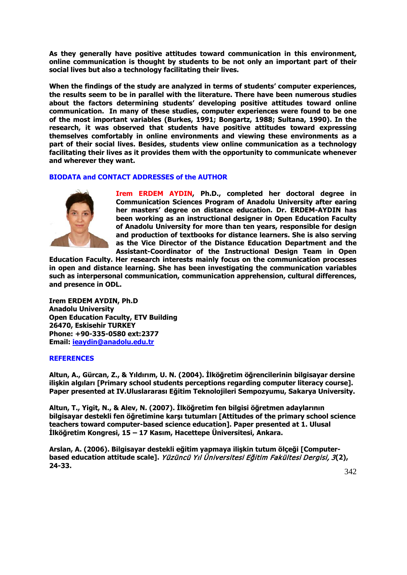**As they generally have positive attitudes toward communication in this environment, online communication is thought by students to be not only an important part of their social lives but also a technology facilitating their lives.** 

**When the findings of the study are analyzed in terms of students' computer experiences, the results seem to be in parallel with the literature. There have been numerous studies about the factors determining students' developing positive attitudes toward online communication. In many of these studies, computer experiences were found to be one of the most important variables (Burkes, 1991; Bongartz, 1988; Sultana, 1990). In the research, it was observed that students have positive attitudes toward expressing themselves comfortably in online environments and viewing these environments as a part of their social lives. Besides, students view online communication as a technology facilitating their lives as it provides them with the opportunity to communicate whenever and wherever they want.** 

# **BIODATA and CONTACT ADDRESSES of the AUTHOR**



**Irem ERDEM AYDIN, Ph.D., completed her doctoral degree in Communication Sciences Program of Anadolu University after earing her masters' degree on distance education. Dr. ERDEM-AYDIN has been working as an instructional designer in Open Education Faculty of Anadolu University for more than ten years, responsible for design and production of textbooks for distance learners. She is also serving as the Vice Director of the Distance Education Department and the Assistant-Coordinator of the Instructional Design Team in Open** 

**Education Faculty. Her research interests mainly focus on the communication processes in open and distance learning. She has been investigating the communication variables such as interpersonal communication, communication apprehension, cultural differences, and presence in ODL.**

**Irem ERDEM AYDIN, Ph.D Anadolu University Open Education Faculty, ETV Building 26470, Eskisehir TURKEY Phone: +90-335-0580 ext:2377 Email: [ieaydin@anadolu.edu.tr](mailto:ieaydin@anadolu.edu.tr)**

## **REFERENCES**

**Altun, A., Gürcan, Z., & Yıldırım, U. N. (2004). İlköğretim öğrencilerinin bilgisayar dersine ilişkin algıları [Primary school students perceptions regarding computer literacy course]. Paper presented at IV.Uluslararası Eğitim Teknolojileri Sempozyumu, Sakarya University.**

**Altun, T., Yigit, N., & Alev, N. (2007). İlköğretim fen bilgisi öğretmen adaylarının bilgisayar destekli fen öğretimine karşı tutumları [Attitudes of the primary school science teachers toward computer-based science education]. Paper presented at 1. Ulusal İlköğretim Kongresi, 15 – 17 Kasım, Hacettepe Üniversitesi, Ankara.**

**Arslan, A. (2006). Bilgisayar destekli eğitim yapmaya ilişkin tutum ölçeği [Computerbased education attitude scale].** Yüzüncü Yıl Üniversitesi Eğitim Fakültesi Dergisi, 3**(2), 24-33.**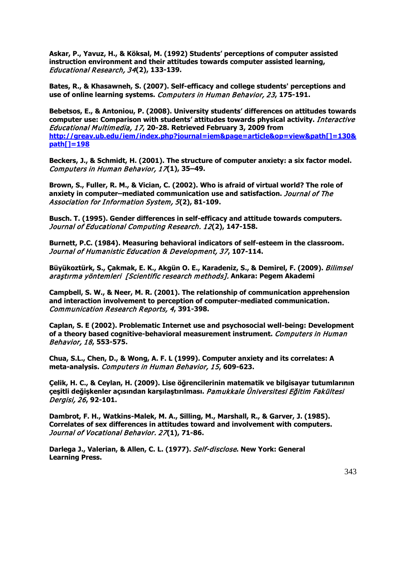**Askar, P., Yavuz, H., & Köksal, M. (1992) Students' perceptions of computer assisted instruction environment and their attitudes towards computer assisted learning,**  Educational Research, 34**(2), 133-139.**

**Bates, R., & Khasawneh, S. (2007). Self-efficacy and college students' perceptions and use of online learning systems.** Computers in Human Behavior, 23**, 175-191.**

**Bebetsos, E., & Antoniou, P. (2008). University students' differences on attitudes towards computer use: Comparison with students' attitudes towards physical activity.** Interactive Educational Multimedia, 17**, 20-28. Retrieved February 3, 2009 from [http://greav.ub.edu/iem/index.php?journal=iem&page=article&op=view&path\[\]=130&](http://greav.ub.edu/iem/index.php?journal=iem&page=article&op=view&path%5b%5d=130&path%5b%5d=198) [path\[\]=198](http://greav.ub.edu/iem/index.php?journal=iem&page=article&op=view&path%5b%5d=130&path%5b%5d=198)**

**Beckers, J., & Schmidt, H. (2001). The structure of computer anxiety: a six factor model.**  Computers in Human Behavior, 17**(1), 35–49.**

**Brown, S., Fuller, R. M., & Vician, C. (2002). Who is afraid of virtual world? The role of anxiety in computer–mediated communication use and satisfaction.** Journal of The Association for Information System, 5**(2), 81-109.**

**Busch. T. (1995). Gender differences in self-efficacy and attitude towards computers.**  Journal of Educational Computing Research. 12**(2), 147-158.**

**Burnett, P.C. (1984). Measuring behavioral indicators of self-esteem in the classroom.**  Journal of Humanistic Education & Development, 37**, 107-114.**

**Büyükoztürk, S., Çakmak, E. K., Akgün O. E., Karadeniz, S., & Demirel, F. (2009).** Bilimsel araştırma yöntemleri [Scientific research methods]. **Ankara: Pegem Akademi**

**Campbell, S. W., & Neer, M. R. (2001). The relationship of communication apprehension and interaction involvement to perception of computer-mediated communication.**  Communication Research Reports, 4**, 391-398.**

**Caplan, S. E (2002). Problematic Internet use and psychosocial well-being: Development of a theory based cognitive-behavioral measurement instrument.** Computers in Human Behavior, 18**, 553-575.** 

**Chua, S.L., Chen, D., & Wong, A. F. L (1999). Computer anxiety and its correlates: A meta-analysis.** Computers in Human Behavior, 15**, 609-623.**

**Çelik, H. C., & Ceylan, H. (2009). Lise öğrencilerinin matematik ve bilgisayar tutumlarının çeşitli değişkenler açısından karşılaştırılması.** Pamukkale Üniversitesi Eğitim Fakültesi Dergisi, 26**, 92-101.**

**Dambrot, F. H., Watkins-Malek, M. A., Silling, M., Marshall, R., & Garver, J. (1985). Correlates of sex differences in attitudes toward and involvement with computers.**  Journal of Vocational Behavior. 27**(1), 71-86.**

**Darlega J., Valerian, & Allen, C. L. (1977).** Self-disclose**. New York: General Learning Press.**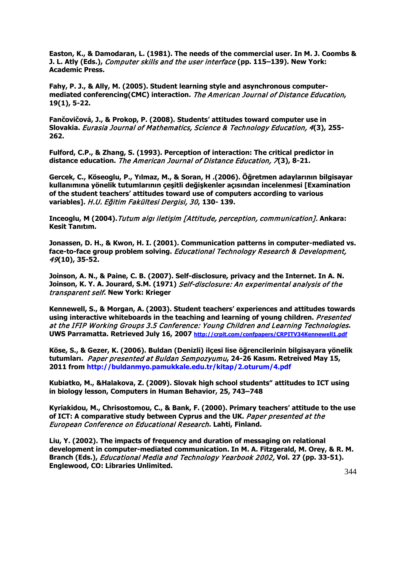**Easton, K., & Damodaran, L. (1981). The needs of the commercial user. In M. J. Coombs & J. L. Atly (Eds.),** Computer skills and the user interface **(pp. 115–139). New York: Academic Press.**

**Fahy, P. J., & Ally, M. (2005). Student learning style and asynchronous computermediated conferencing(CMC) interaction.** The American Journal of Distance Education**, 19(1), 5-22.**

**Fančovičová, J., & Prokop, P. (2008). Students' attitudes toward computer use in Slovakia.** Eurasia Journal of Mathematics, Science & Technology Education, 4**(3), 255- 262.**

**Fulford, C.P., & Zhang, S. (1993). Perception of interaction: The critical predictor in distance education.** The American Journal of Distance Education, 7**(3), 8-21.**

**Gercek, C., Köseoglu, P., Yılmaz, M., & Soran, H .(2006). Öğretmen adaylarının bilgisayar kullanımına yönelik tutumlarının çeşitli değişkenler açısından incelenmesi [Examination of the student teachers' attitudes toward use of computers according to various variables].** H.U. Eğitim Fakültesi Dergisi, 30**, 130- 139.**

**Inceoglu, M (2004).**Tutum algı iletişim [Attitude, perception, communication]. **Ankara: Kesit Tanıtım.** 

**Jonassen, D. H., & Kwon, H. I. (2001). Communication patterns in computer-mediated vs. face-to-face group problem solving.** Educational Technology Research & Development, 49**(10), 35-52.**

**Joinson, A. N., & Paine, C. B. (2007). Self-disclosure, privacy and the Internet. In A. N. Joinson, K. Y. A. Jourard, S.M. (1971)** Self-disclosure: An experimental analysis of the transparent self**. New York: Krieger** 

**Kennewell, S., & Morgan, A. (2003). Student teachers' experiences and attitudes towards**  using interactive whiteboards in the teaching and learning of young children. *Presented* at the IFIP Working Groups 3.5 Conference: Young Children and Learning Technologies**. UWS Parramatta. Retrieved July 16, 2007<http://crpit.com/confpapers/CRPITV34Kennewell1.pdf>**

**Köse, S., & Gezer, K. (2006). Buldan (Denizli) ilçesi lise öğrencilerinin bilgisayara yönelik tutumları.** Paper presented at Buldan Sempozyumu**, 24-26 Kasım. Retreived May 15, 2011 from http://buldanmyo.pamukkale.edu.tr/kitap/2.oturum/4.pdf**

**Kubiatko, M., &Halakova, Z. (2009). Slovak high school students" attitudes to ICT using in biology lesson, Computers in Human Behavior, 25, 743–748**

**Kyriakidou, M., Chrisostomou, C., & Bank, F. (2000). Primary teachers' attitude to the use of ICT: A comparative study between Cyprus and the UK.** Paper presented at the European Conference on Educational Research**. Lahti, Finland.** 

**Liu, Y. (2002). The impacts of frequency and duration of messaging on relational development in computer-mediated communication. In M. A. Fitzgerald, M. Orey, & R. M. Branch (Eds.),** Educational Media and Technology Yearbook 2002, **Vol. 27 (pp. 33-51). Englewood, CO: Libraries Unlimited.**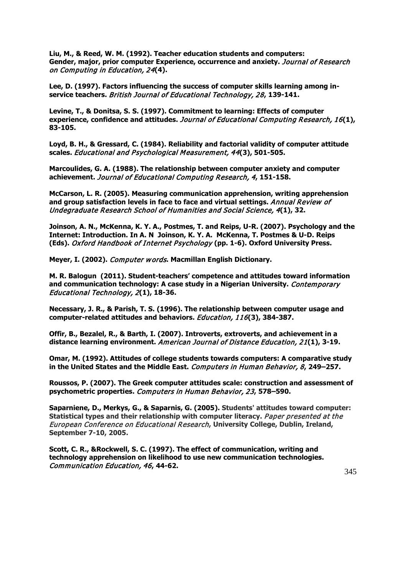**Liu, M., & Reed, W. M. (1992). Teacher education students and computers: Gender, major, prior computer Experience, occurrence and anxiety.** Journal of Research on Computing in Education, 24**(4).**

**Lee, D. (1997). Factors influencing the success of computer skills learning among inservice teachers.** British Journal of Educational Technology, 28**, 139-141.**

**Levine, T., & Donitsa, S. S. (1997). Commitment to learning: Effects of computer experience, confidence and attitudes.** Journal of Educational Computing Research, 16**(1), 83-105.**

**Loyd, B. H., & Gressard, C. (1984). Reliability and factorial validity of computer attitude scales.** Educational and Psychological Measurement, 44**(3), 501-505.**

**Marcoulides, G. A. (1988). The relationship between computer anxiety and computer achievement.** Journal of Educational Computing Research, 4**, 151-158.**

**McCarson, L. R. (2005). Measuring communication apprehension, writing apprehension and group satisfaction levels in face to face and virtual settings.** Annual Review of Undegraduate Research School of Humanities and Social Science, 4**(1), 32.**

**Joinson, A. N., McKenna, K. Y. A., Postmes, T. and Reips, U-R. (2007). Psychology and the Internet: Introduction. In A. N Joinson, K. Y. A. McKenna, T. Postmes & U-D. Reips (Eds).** Oxford Handbook of Internet Psychology **(pp. 1-6). Oxford University Press.** 

**Meyer, I. (2002).** Computer w ords**. Macmillan English Dictionary.**

**M. R. Balogun (2011). Student-teachers' competence and attitudes toward information and communication technology: A case study in a Nigerian University.** Contemporary Educational Technology, 2**(1), 18-36.**

**Necessary, J. R., & Parish, T. S. (1996). The relationship between computer usage and computer-related attitudes and behaviors.** Education, 116**(3), 384-387.**

**Offir, B., Bezalel, R., & Barth, I. (2007). Introverts, extroverts, and achievement in a distance learning environment.** American Journal of Distance Education, 21**(1), 3-19.**

**Omar, M. (1992). Attitudes of college students towards computers: A comparative study in the United States and the Middle East.** Computers in Human Behavior, 8**, 249–257.**

**Roussos, P. (2007). The Greek computer attitudes scale: construction and assessment of psychometric properties.** Computers in Human Behavior, 23**, 578–590.**

**Saparniene, D., Merkys, G., & Saparnis, G. (2005). Students' attitudes toward computer: Statistical types and their relationship with computer literacy.** Paper presented at the European Conference on Educational Research**, University College, Dublin, Ireland, September 7-10, 2005.** 

**Scott, C. R., &Rockwell, S. C. (1997). The effect of communication, writing and technology apprehension on likelihood to use new communication technologies.**  Communication Education, 46**, 44-62.**